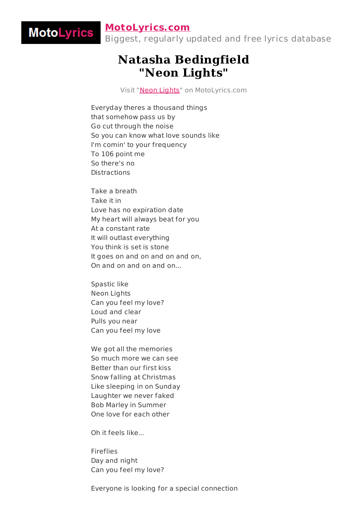## **[MotoLyrics.com](http://motolyrics.com/)**

MotoLyrics

Biggest, regularly updated and free lyrics database

## **Natasha Bedingfield "Neon Lights"**

Visit "Neon [Lights"](http://motolyrics.com/natasha-bedingfield/neon-lights-lyrics.html?pdf=1) on MotoLyrics.com

Everyday theres a thousand things that somehow pass us by Go cut through the noise So you can know what love sounds like I'm comin' to your frequency To 106 point me So there's no Distractions

Take a breath Take it in Love has no expiration date My heart will always beat for you At a constant rate It will outlast everything You think is set is stone It goes on and on and on and on, On and on and on and on...

Spastic like Neon Lights Can you feel my love? Loud and clear Pulls you near Can you feel my love

We got all the memories So much more we can see Better than our first kiss Snow falling at Christmas Like sleeping in on Sunday Laughter we never faked Bob Marley in Summer One love for each other

Oh it feels like...

Fireflies Day and night Can you feel my love?

Everyone is looking for a special connection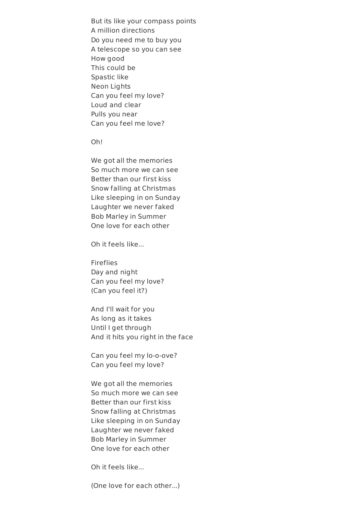But its like your compass points A million directions Do you need me to buy you A telescope so you can see How good This could be Spastic like Neon Lights Can you feel my love? Loud and clear Pulls you near Can you feel me love?

Oh!

We got all the memories So much more we can see Better than our first kiss Snow falling at Christmas Like sleeping in on Sunday Laughter we never faked Bob Marley in Summer One love for each other

Oh it feels like...

Fireflies Day and night Can you feel my love? (Can you feel it?)

And I'll wait for you As long as it takes Until I get through And it hits you right in the face

Can you feel my lo-o-ove? Can you feel my love?

We got all the memories So much more we can see Better than our first kiss Snow falling at Christmas Like sleeping in on Sunday Laughter we never faked Bob Marley in Summer One love for each other

Oh it feels like...

(One love for each other...)